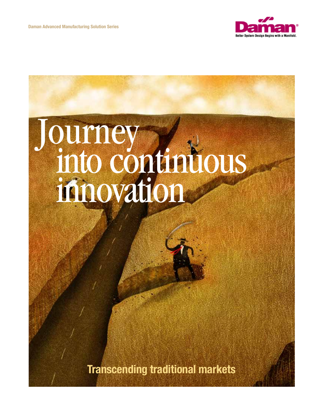

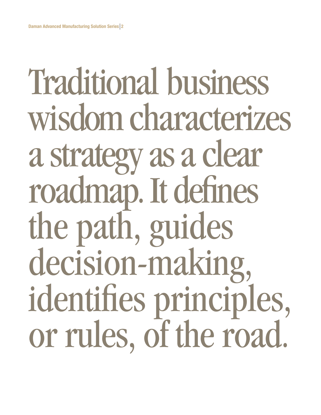# Traditional business wisdom characterizes a strategy as a clear roadmap. It defines the path, guides decision-making, identifies principles, or rules, of the road.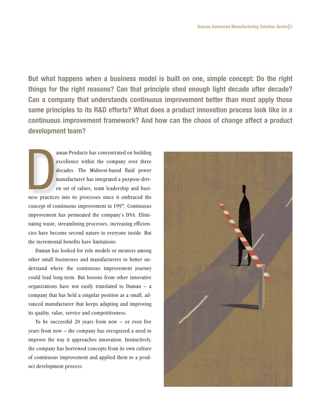**But what happens when a business model is built on one, simple concept: Do the right things for the right reasons? Can that principle shed enough light decade after decade? Can a company that understands continuous improvement better than most apply those same principles to its R&D efforts? What does a product innovation process look like in a continuous improvement framework? And how can the chaos of change affect a product development team?**

**DESPARAGEMENT** aman Products has concentrated on building excellence within the company over three decades. The Midwest-based fluid power manufacturer has integrated a purpose-driven set of values, team leadership and business practices into its processes since it embraced the concept of continuous improvement in 1997. Continuous improvement has permeated the company's DNA. Eliminating waste, streamlining processes, increasing efficiencies have become second nature to everyone inside. But the incremental benefits have limitations.

Daman has looked for role models or mentors among other small businesses and manufacturers to better understand where the continuous improvement journey could lead long-term. But lessons from other innovative organizations have not easily translated to Daman – a company that has held a singular position as a small, advanced manufacturer that keeps adapting and improving its quality, value, service and competitiveness.

To be successful 20 years from now  $-$  or even five years from now – the company has recognized a need to improve the way it approaches innovation. Instinctively, the company has borrowed concepts from its own culture of continuous improvement and applied them to a product development process.

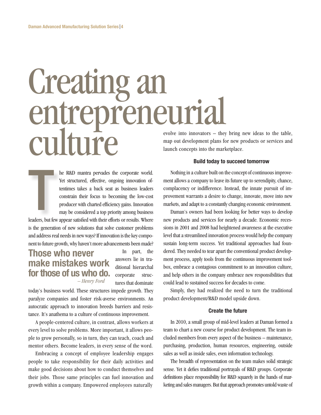## Creating an entrepreneurial culture

he R&D mantra pervades the corporate world. Yet structured, effective, ongoing innovation oftentimes takes a back seat as business leaders constrain their focus to becoming the low-cost producer with charted efficiency gains. Innovation may be considered a top priority among business The Contract of the Contract of the Contract of the Contract of the Contract of the Contract of the Contract of the Contract of the Contract of the Contract of the Contract of the Contract of the Contract of the Contract o

leaders, but few appear satisfied with their efforts or results. Where is the generation of new solutions that solve customer problems and address real needs in new ways? If innovation is the key component to future growth, why haven't more advancements been made?

### **Those who never make mistakes work for those of us who do.**  *– Henry Ford*

In part, the answers lie in traditional hierarchal corporate structures that dominate

today's business world. These structures impede growth. They paralyze companies and foster risk-averse environments. An autocratic approach to innovation breeds barriers and resistance. It's anathema to a culture of continuous improvement.

A people-centered culture, in contrast, allows workers at every level to solve problems. More important, it allows people to grow personally, so in turn, they can teach, coach and mentor others. Become leaders, in every sense of the word.

Embracing a concept of employee leadership engages people to take responsibility for their daily activities and make good decisions about how to conduct themselves and their jobs. Those same principles can fuel innovation and growth within a company. Empowered employees naturally

evolve into innovators – they bring new ideas to the table, map out development plans for new products or services and launch concepts into the marketplace.

#### **Build today to succeed tomorrow**

Nothing in a culture built on the concept of continuous improvement allows a company to leave its future up to serendipity, chance, complacency or indifference. Instead, the innate pursuit of improvement warrants a desire to change, innovate, move into new markets, and adapt to a constantly changing economic environment.

Daman's owners had been looking for better ways to develop new products and services for nearly a decade. Economic recessions in 2001 and 2008 had heightened awareness at the executive level that a streamlined innovation process would help the company sustain long-term success. Yet traditional approaches had foundered. They needed to tear apart the conventional product development process, apply tools from the continuous improvement toolbox, embrace a contagious commitment to an innovation culture, and help others in the company embrace new responsibilities that could lead to sustained success for decades to come.

Simply, they had realized the need to turn the traditional product development/R&D model upside down.

#### **Create the future**

In 2010, a small group of mid-level leaders at Daman formed a team to chart a new course for product development. The team included members from every aspect of the business – maintenance, purchasing, production, human resources, engineering, outside sales as well as inside sales, even information technology.

The breadth of representation on the team makes solid strategic sense. Yet it defies traditional portrayals of R&D groups. Corporate definitions place responsibility for R&D squarely in the hands of marketing and sales managers. But that approach promotes untold waste of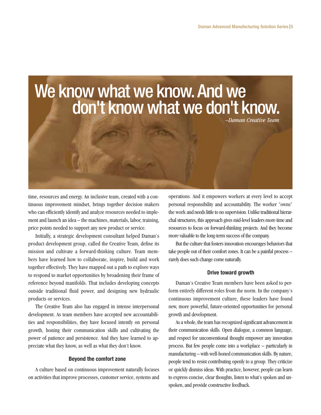

time, resources and energy. An inclusive team, created with a continuous improvement mindset, brings together decision makers who can efficiently identify and analyze resources needed to implement and launch an idea – the machines, materials, labor, training, price points needed to support any new product or service.

Initially, a strategic development consultant helped Daman's product development group, called the Creative Team, define its mission and cultivate a forward-thinking culture. Team members have learned how to collaborate, inspire, build and work together effectively. They have mapped out a path to explore ways to respond to market opportunities by broadening their frame of reference beyond manifolds. That includes developing concepts outside traditional fluid power, and designing new hydraulic products or services.

The Creative Team also has engaged in intense interpersonal development. As team members have accepted new accountabilities and responsibilities, they have focused intently on personal growth, honing their communication skills and cultivating the power of patience and persistence. And they have learned to appreciate what they know, as well as what they don't know.

#### **Beyond the comfort zone**

A culture based on continuous improvement naturally focuses on activities that improve processes, customer service, systems and operations. And it empowers workers at every level to accept personal responsibility and accountability. The worker "owns" the work and needs little to no supervision. Unlike traditional hierarchal structures, this approach gives mid-level leaders more time and resources to focus on forward-thinking projects. And they become more valuable to the long-term success of the company.

But the culture that fosters innovation encourages behaviors that take people out of their comfort zones. It can be a painful process – rarely does such change come naturally.

#### **Drive toward growth**

Daman's Creative Team members have been asked to perform entirely different roles from the norm. In the company's continuous improvement culture, these leaders have found new, more powerful, future-oriented opportunities for personal growth and development.

As a whole, the team has recognized significant advancement in their communication skills. Open dialogue, a common language, and respect for unconventional thought empower any innovation process. But few people come into a workplace – particularly in manufacturing – with well-honed communication skills. By nature, people tend to resist contributing openly to a group. They criticize or quickly dismiss ideas. With practice, however, people can learn to express concise, clear thoughts, listen to what's spoken and unspoken, and provide constructive feedback.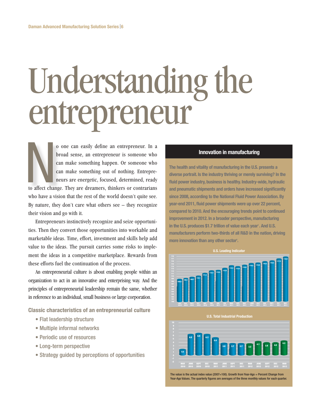# Understanding the entrepreneur

o one can easily define an entrepreneur. In a broad sense, an entrepreneur is someone who can make something happen. Or someone who can make something out of nothing. Entrepreneurs are energetic, focused, determined, ready to affect change. They are dreamers, thinkers or contrarians who have a vision that the rest of the world doesn't quite see. By nature, they don't care what others see – they recognize their vision and go with it. No affect change

Entrepreneurs instinctively recognize and seize opportunities. Then they convert those opportunities into workable and marketable ideas. Time, effort, investment and skills help add value to the ideas. The pursuit carries some risks to implement the ideas in a competitive marketplace. Rewards from these efforts fuel the continuation of the process.

An entrepreneurial culture is about enabling people within an organization to act in an innovative and enterprising way. And the principles of entrepreneurial leadership remain the same, whether in reference to an individual, small business or large corporation.

**Classic characteristics of an entrepreneurial culture**

- Flat leadership structure
- Multiple informal networks
- Periodic use of resources
- Long-term perspective
- Strategy guided by perceptions of opportunities

#### **Innovation in manufacturing**

**The health and vitality of manufacturing in the U.S. presents a diverse portrait. Is the industry thriving or merely surviving? In the fluid power industry, business is healthy. Industry-wide, hydraulic and pneumatic shipments and orders have increased significantly since 2008, according to the National Fluid Power Association. By year-end 2011, fluid power shipments were up over 22 percent, compared to 2010. And the encouraging trends point to continued improvement in 2012. In a broader perspective, manufacturing**  in the U.S. produces \$1.7 trillion of value each year<sup>1</sup>. And U.S. **manufacturers perform two-thirds of all R&D in the nation, driving**  more innovation than any other sector<sup>2</sup>.





The value is the actual index value (2007=100). Growth from Year-Ago = Percent Change from Year-Ago Values. The quarterly figures are averages of the three monthly values for each quarter.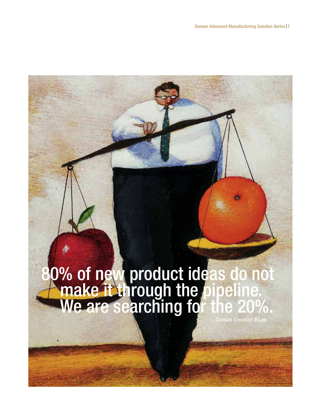### 80% of new product ideas do not<br>A make it through the pipeline. We are searching for the 20%.  *– Daman Creative Team*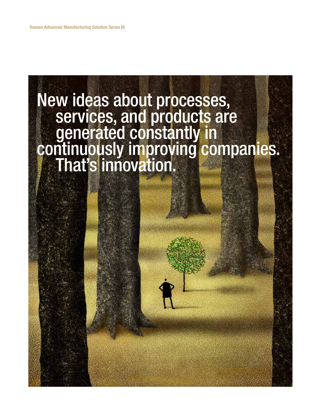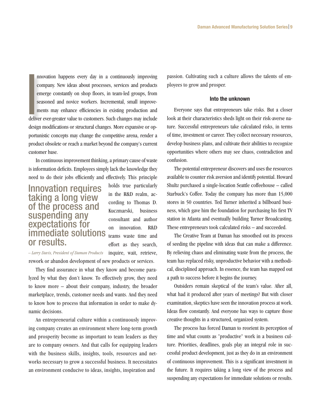nnovation happens every day in a continuously improving company. New ideas about processes, services and products emerge constantly on shop floors, in team-led groups, from seasoned and novice workers. Incremental, small improvements may enhance efficiencies in existing production and deliver ever-greater value to customers. Such changes may include design modifications or structural changes. More expansive or opportunistic concepts may change the competitive arena, render a product obsolete or reach a market beyond the company's current customer base. International<br>International<br>International

In continuous improvement thinking, a primary cause of waste is information deficits. Employees simply lack the knowledge they need to do their jobs efficiently and effectively. This principle

### Innovation requires taking a long view of the process and suspending any expectations for immediate solutions or results.

holds true particularly in the R&D realm, according to Thomas D. Kuczmarski, business consultant and author on innovation. R&D teams waste time and effort as they search,

inquire, wait, retrieve, *– Larry Davis, President of Daman Products* rework or abandon development of new products or services.

They find assurance in what they know and become paralyzed by what they don't know. To effectively grow, they need to know more – about their company, industry, the broader marketplace, trends, customer needs and wants. And they need to know how to process that information in order to make dynamic decisions.

An entrepreneurial culture within a continuously improving company creates an environment where long-term growth and prosperity become as important to team leaders as they are to company owners. And that calls for equipping leaders with the business skills, insights, tools, resources and networks necessary to grow a successful business. It necessitates an environment conducive to ideas, insights, inspiration and

passion. Cultivating such a culture allows the talents of employees to grow and prosper.

#### **Into the unknown**

Everyone says that entrepreneurs take risks. But a closer look at their characteristics sheds light on their risk-averse nature. Successful entrepreneurs take calculated risks, in terms of time, investment or career. They collect necessary resources, develop business plans, and cultivate their abilities to recognize opportunities where others may see chaos, contradiction and confusion.

The potential entrepreneur discovers and uses the resources available to counter risk aversion and identify potential. Howard Shultz purchased a single-location Seattle coffeehouse – called Starbuck's Coffee. Today the company has more than 15,000 stores in 50 countries. Ted Turner inherited a billboard business, which gave him the foundation for purchasing his first TV station in Atlanta and eventually building Turner Broadcasting. These entrepreneurs took calculated risks – and succeeded.

The Creative Team at Daman has smoothed out its process of seeding the pipeline with ideas that can make a difference. By relieving chaos and eliminating waste from the process, the team has replaced risky, unproductive behavior with a methodical, disciplined approach. In essence, the team has mapped out a path to success before it begins the journey.

Outsiders remain skeptical of the team's value. After all, what had it produced after years of meetings? But with closer examination, skeptics have seen the innovation process at work. Ideas flow constantly. And everyone has ways to capture those creative thoughts in a structured, organized system.

The process has forced Daman to reorient its perception of time and what counts as "productive" work in a business culture. Priorities, deadlines, goals play an integral role in successful product development, just as they do in an environment of continuous improvement. This is a significant investment in the future. It requires taking a long view of the process and suspending any expectations for immediate solutions or results.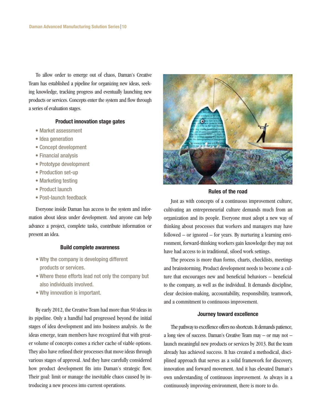To allow order to emerge out of chaos, Daman's Creative Team has established a pipeline for organizing new ideas, seeking knowledge, tracking progress and eventually launching new products or services. Concepts enter the system and flow through a series of evaluation stages.

#### **Product innovation stage gates**

- Market assessment
- Idea generation
- Concept development
- Financial analysis
- Prototype development
- Production set-up
- Marketing testing
- Product launch
- Post-launch feedback

Everyone inside Daman has access to the system and information about ideas under development. And anyone can help advance a project, complete tasks, contribute information or present an idea.

#### **Build complete awareness**

- Why the company is developing different products or services.
- Where these efforts lead not only the company but also individuals involved.
- Why innovation is important.

By early 2012, the Creative Team had more than 50 ideas in its pipeline. Only a handful had progressed beyond the initial stages of idea development and into business analysis. As the ideas emerge, team members have recognized that with greater volume of concepts comes a richer cache of viable options. They also have refined their processes that move ideas through various stages of approval. And they have carefully considered how product development fits into Daman's strategic flow. Their goal: limit or manage the inevitable chaos caused by introducing a new process into current operations.



#### **Rules of the road**

Just as with concepts of a continuous improvement culture, cultivating an entrepreneurial culture demands much from an organization and its people. Everyone must adopt a new way of thinking about processes that workers and managers may have followed – or ignored – for years. By nurturing a learning environment, forward-thinking workers gain knowledge they may not have had access to in traditional, siloed work settings.

The process is more than forms, charts, checklists, meetings and brainstorming. Product development needs to become a culture that encourages new and beneficial behaviors – beneficial to the company, as well as the individual. It demands discipline, clear decision-making, accountability, responsibility, teamwork, and a commitment to continuous improvement.

#### **Journey toward excellence**

The pathway to excellence offers no shortcuts. It demands patience, a long view of success. Daman's Creative Team may – or may not – launch meaningful new products or services by 2013. But the team already has achieved success. It has created a methodical, disciplined approach that serves as a solid framework for discovery, innovation and forward movement. And it has elevated Daman's own understanding of continuous improvement. As always in a continuously improving environment, there is more to do.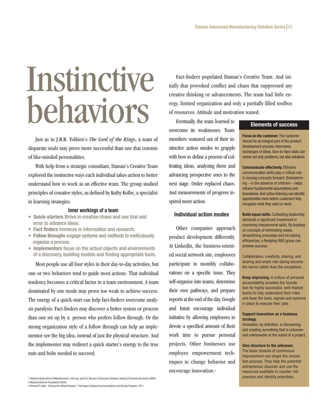# Instinctive behaviors

Just as in J.R.R. Tolkien's *The Lord of the Ring*s, a team of disparate souls may prove more successful than one that consists of like-minded personalities.

With help from a strategic consultant, Daman's Creative Team explored the instinctive ways each individual takes action to better understand how to work as an effective team. The group studied principles of conative styles, as defined by Kathy Kolbe, a specialist in learning strategies.

#### **Inner workings of a team**

- Quick-starters thrive in creative chaos and use trial and error to advance ideas.
- **Fact finders immerse in information and research.**
- Follow throughs engage systems and methods to meticulously organize a process.
- **Implementors** focus on the actual objects and environments of a discovery, building models and finding appropriate tools.

Most people use all four styles in their day-to-day activities, but one or two behaviors tend to guide most actions. That individual tendency becomes a critical factor in a team environment. A team dominated by one mode may prove too weak to achieve success. The energy of a quick-start can help fact-finders overcome analysis paralysis. Fact-finders may discover a better system or process than one set up by a person who prefers follow through. Or the strong organization style of a follow through can help an implementor see the big idea, instead of just the physical structure. And the implementor may redirect a quick starter's energy to the true nuts and bolts needed to succeed.

1 National Association of Manufacturers, nam.org, and U.S. Bureau of Economic Analysis, Industry Economic Accounts (2009). 2 National Science Foundation (2008). 3 Richard P. Adler, "Solving the Dilbert Paradox," The Aspen Institute Communications and Society Program, 2011

Fact-finders populated Daman's Creative Team. And initially that provoked conflict and chaos that suppressed any creative thinking or advancements. The team had little energy, limited organization and only a partially filled toolbox of resources. Attitude and motivation waned.

Eventually, the team learned to overcome its weaknesses. Team members ventured out of their instinctive action modes to grapple with how to define a process of cultivating ideas, analyzing them and advancing prospective ones to the next stage. Order replaced chaos. And measurements of progress inspired more action.

#### **Individual action modes**

Other companies approach product development differently. At LinkedIn, the business-oriented social network site, employees participate in monthly collaborations on a specific issue. They self-organize into teams, determine their own pathways, and prepare reports at the end of the day. Google and Intuit encourage individual initiative by allowing employees to devote a specified amount of their work time to pursue personal projects. Other businesses use employee empowerment techniques to change behavior and encourage innovation.3

#### **Elements of success**

**Focus on the customer.** The customer should be an integral part of the product development process. Interviews, exchanges of ideas, face-to-face visits can reveal not only problems, but also solutions.

**Communicate effectively.** Effective communication skills play a critical role in moving concepts forward. Brainstorming – in the absence of criticism – helps reframe fundamental assumptions and boundaries. And active listening can identify opportunities even before customers fully recognize what they want or need.

**Build equal skills.** Cultivating leadership demands a significant investment in improving interpersonal skills. By building on concepts of eliminating waste, streamlining processes and increasing efficiencies, a fledgling R&D group can achieve success.

Collaboration, creativity, sharing, and sharing and smart risk-taking become the norms rather than the exceptions.

**Keep improving.** A culture of personal accountability provides the foundation for highly successful, well-trained teams to fully understand their roles and have the tools, signals and systems in place to execute their jobs.

#### **Support innovation as a business strategy.**

Innovation, by definition, is discovering and creating something that is unknown and unknowable at the outset of a project.

#### **Give structure to the unknown.**

The basic tenants of continuous improvement can shape the innovation process. They help the potential entrepreneur discover and use the resources available to counter risk aversion and identify potentials.